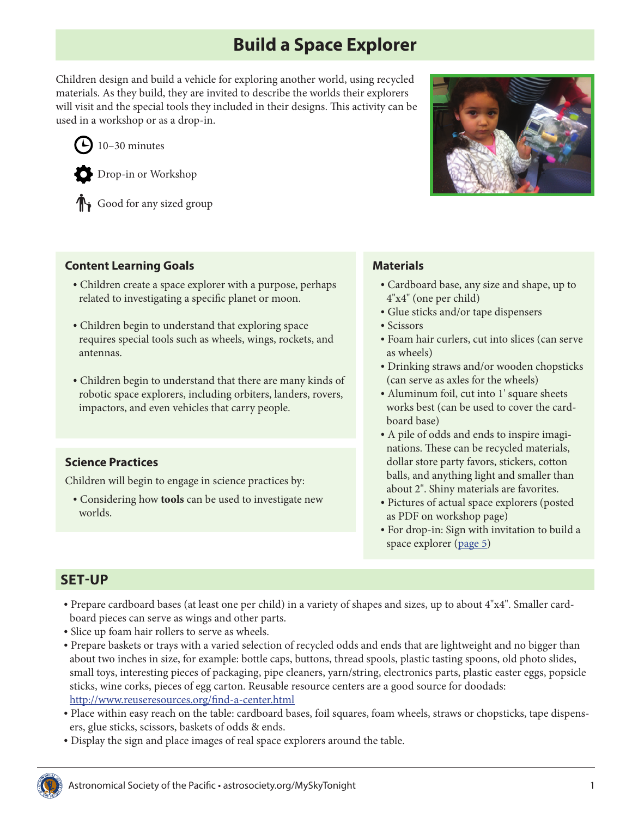# **Build a Space Explorer**

Children design and build a vehicle for exploring another world, using recycled materials. As they build, they are invited to describe the worlds their explorers will visit and the special tools they included in their designs. This activity can be used in a workshop or as a drop-in.





Drop-in or Workshop

Good for any sized group

#### **Content Learning Goals**

- Children create a space explorer with a purpose, perhaps related to investigating a specific planet or moon.
- Children begin to understand that exploring space requires special tools such as wheels, wings, rockets, and antennas.
- Children begin to understand that there are many kinds of robotic space explorers, including orbiters, landers, rovers, impactors, and even vehicles that carry people.

#### **Science Practices**

Children will begin to engage in science practices by:

• Considering how **tools** can be used to investigate new worlds.



#### **Materials**

- Cardboard base, any size and shape, up to 4"x4" (one per child)
- Glue sticks and/or tape dispensers
- Scissors
- Foam hair curlers, cut into slices (can serve as wheels)
- Drinking straws and/or wooden chopsticks (can serve as axles for the wheels)
- Aluminum foil, cut into 1' square sheets works best (can be used to cover the cardboard base)
- A pile of odds and ends to inspire imaginations. These can be recycled materials, dollar store party favors, stickers, cotton balls, and anything light and smaller than about 2". Shiny materials are favorites.
- Pictures of actual space explorers (posted as PDF on workshop page)
- For drop-in: Sign with invitation to build a space explorer ([page 5\)](#page-4-0)

### **SET-UP**

- Prepare cardboard bases (at least one per child) in a variety of shapes and sizes, up to about 4"x4". Smaller cardboard pieces can serve as wings and other parts.
- Slice up foam hair rollers to serve as wheels.
- Prepare baskets or trays with a varied selection of recycled odds and ends that are lightweight and no bigger than about two inches in size, for example: bottle caps, buttons, thread spools, plastic tasting spoons, old photo slides, small toys, interesting pieces of packaging, pipe cleaners, yarn/string, electronics parts, plastic easter eggs, popsicle sticks, wine corks, pieces of egg carton. Reusable resource centers are a good source for doodads: <http://www.reuseresources.org/find-a-center.html>
- Place within easy reach on the table: cardboard bases, foil squares, foam wheels, straws or chopsticks, tape dispensers, glue sticks, scissors, baskets of odds & ends.
- Display the sign and place images of real space explorers around the table.

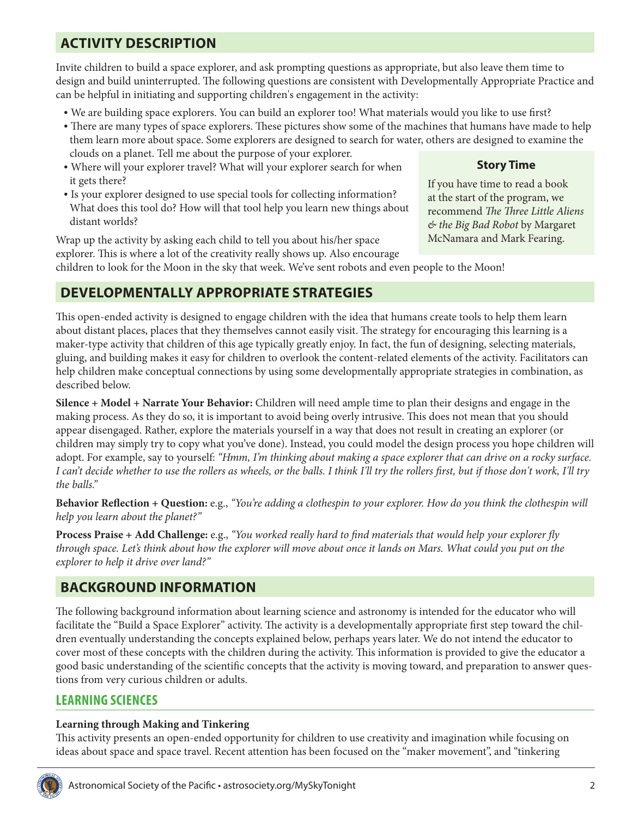# **ACTIVITY DESCRIPTION**

Invite children to build a space explorer, and ask prompting questions as appropriate, but also leave them time to design and build uninterrupted. The following questions are consistent with Developmentally Appropriate Practice and can be helpful in initiating and supporting children's engagement in the activity:

- We are building space explorers. You can build an explorer too! What materials would you like to use first?
- There are many types of space explorers. These pictures show some of the machines that humans have made to help them learn more about space. Some explorers are designed to search for water, others are designed to examine the clouds on a planet. Tell me about the purpose of your explorer.
- Where will your explorer travel? What will your explorer search for when it gets there?
- Is your explorer designed to use special tools for collecting information? What does this tool do? How will that tool help you learn new things about distant worlds?

Wrap up the activity by asking each child to tell you about his/her space explorer. This is where a lot of the creativity really shows up. Also encourage children to look for the Moon in the sky that week. We've sent robots and even people to the Moon!

### **DEVELOPMENTALLY APPROPRIATE STRATEGIES**

This open-ended activity is designed to engage children with the idea that humans create tools to help them learn about distant places, places that they themselves cannot easily visit. The strategy for encouraging this learning is a maker-type activity that children of this age typically greatly enjoy. In fact, the fun of designing, selecting materials, gluing, and building makes it easy for children to overlook the content-related elements of the activity. Facilitators can help children make conceptual connections by using some developmentally appropriate strategies in combination, as described below.

**Silence + Model + Narrate Your Behavior:** Children will need ample time to plan their designs and engage in the making process. As they do so, it is important to avoid being overly intrusive. This does not mean that you should appear disengaged. Rather, explore the materials yourself in a way that does not result in creating an explorer (or children may simply try to copy what you've done). Instead, you could model the design process you hope children will adopt. For example, say to yourself: *"Hmm, I'm thinking about making a space explorer that can drive on a rocky surface. I can't decide whether to use the rollers as wheels, or the balls. I think I'll try the rollers first, but if those don't work, I'll try the balls."*

**Behavior Reflection + Question:** e.g., *"You're adding a clothespin to your explorer. How do you think the clothespin will help you learn about the planet?"*

**Process Praise + Add Challenge:** e.g., *"You worked really hard to find materials that would help your explorer fly through space. Let's think about how the explorer will move about once it lands on Mars. What could you put on the explorer to help it drive over land?"*

### **BACKGROUND INFORMATION**

The following background information about learning science and astronomy is intended for the educator who will facilitate the "Build a Space Explorer" activity. The activity is a developmentally appropriate first step toward the children eventually understanding the concepts explained below, perhaps years later. We do not intend the educator to cover most of these concepts with the children during the activity. This information is provided to give the educator a good basic understanding of the scientific concepts that the activity is moving toward, and preparation to answer questions from very curious children or adults.

### **LEARNING SCIENCES**

#### **Learning through Making and Tinkering**

This activity presents an open-ended opportunity for children to use creativity and imagination while focusing on ideas about space and space travel. Recent attention has been focused on the "maker movement", and "tinkering



## **Story Time**

If you have time to read a book at the start of the program, we recommend *The Three Little Aliens & the Big Bad Robot* by Margaret McNamara and Mark Fearing.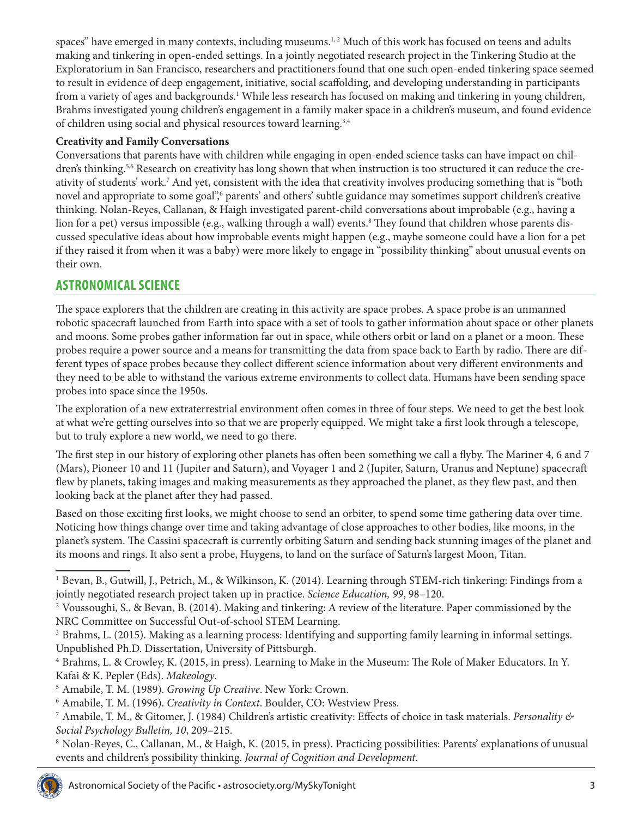spaces" have emerged in many contexts, including museums.<sup>1,2</sup> Much of this work has focused on teens and adults making and tinkering in open-ended settings. In a jointly negotiated research project in the Tinkering Studio at the Exploratorium in San Francisco, researchers and practitioners found that one such open-ended tinkering space seemed to result in evidence of deep engagement, initiative, social scaffolding, and developing understanding in participants from a variety of ages and backgrounds.<sup>1</sup> While less research has focused on making and tinkering in young children, Brahms investigated young children's engagement in a family maker space in a children's museum, and found evidence of children using social and physical resources toward learning.<sup>3,4</sup>

#### **Creativity and Family Conversations**

Conversations that parents have with children while engaging in open-ended science tasks can have impact on children's thinking.<sup>5,6</sup> Research on creativity has long shown that when instruction is too structured it can reduce the creativity of students' work.7 And yet, consistent with the idea that creativity involves producing something that is "both novel and appropriate to some goal",6 parents' and others' subtle guidance may sometimes support children's creative thinking. Nolan-Reyes, Callanan, & Haigh investigated parent-child conversations about improbable (e.g., having a lion for a pet) versus impossible (e.g., walking through a wall) events.8 They found that children whose parents discussed speculative ideas about how improbable events might happen (e.g., maybe someone could have a lion for a pet if they raised it from when it was a baby) were more likely to engage in "possibility thinking" about unusual events on their own.

## **ASTRONOMICAL SCIENCE**

The space explorers that the children are creating in this activity are space probes. A space probe is an unmanned robotic spacecraft launched from Earth into space with a set of tools to gather information about space or other planets and moons. Some probes gather information far out in space, while others orbit or land on a planet or a moon. These probes require a power source and a means for transmitting the data from space back to Earth by radio. There are different types of space probes because they collect different science information about very different environments and they need to be able to withstand the various extreme environments to collect data. Humans have been sending space probes into space since the 1950s.

The exploration of a new extraterrestrial environment often comes in three of four steps. We need to get the best look at what we're getting ourselves into so that we are properly equipped. We might take a first look through a telescope, but to truly explore a new world, we need to go there.

The first step in our history of exploring other planets has often been something we call a flyby. The Mariner 4, 6 and 7 (Mars), Pioneer 10 and 11 (Jupiter and Saturn), and Voyager 1 and 2 (Jupiter, Saturn, Uranus and Neptune) spacecraft flew by planets, taking images and making measurements as they approached the planet, as they flew past, and then looking back at the planet after they had passed.

Based on those exciting first looks, we might choose to send an orbiter, to spend some time gathering data over time. Noticing how things change over time and taking advantage of close approaches to other bodies, like moons, in the planet's system. The Cassini spacecraft is currently orbiting Saturn and sending back stunning images of the planet and its moons and rings. It also sent a probe, Huygens, to land on the surface of Saturn's largest Moon, Titan.

<sup>1</sup> Bevan, B., Gutwill, J., Petrich, M., & Wilkinson, K. (2014). Learning through STEM-rich tinkering: Findings from a jointly negotiated research project taken up in practice. *Science Education, 99*, 98–120.

<sup>2</sup> Voussoughi, S., & Bevan, B. (2014). Making and tinkering: A review of the literature. Paper commissioned by the NRC Committee on Successful Out-of-school STEM Learning.

<sup>&</sup>lt;sup>3</sup> Brahms, L. (2015). Making as a learning process: Identifying and supporting family learning in informal settings. Unpublished Ph.D. Dissertation, University of Pittsburgh.

<sup>4</sup> Brahms, L. & Crowley, K. (2015, in press). Learning to Make in the Museum: The Role of Maker Educators. In Y. Kafai & K. Pepler (Eds). *Makeology*.

<sup>5</sup> Amabile, T. M. (1989). *Growing Up Creative*. New York: Crown.

<sup>6</sup> Amabile, T. M. (1996). *Creativity in Context*. Boulder, CO: Westview Press.

<sup>7</sup> Amabile, T. M., & Gitomer, J. (1984) Children's artistic creativity: Effects of choice in task materials. *Personality & Social Psychology Bulletin, 10*, 209–215.

<sup>8</sup> Nolan-Reyes, C., Callanan, M., & Haigh, K. (2015, in press). Practicing possibilities: Parents' explanations of unusual events and children's possibility thinking. *Journal of Cognition and Development*.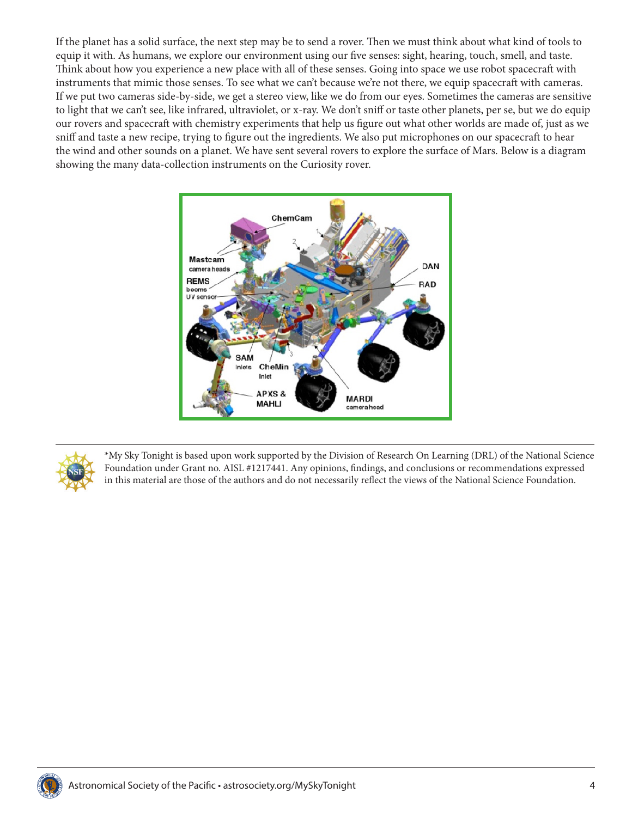If the planet has a solid surface, the next step may be to send a rover. Then we must think about what kind of tools to equip it with. As humans, we explore our environment using our five senses: sight, hearing, touch, smell, and taste. Think about how you experience a new place with all of these senses. Going into space we use robot spacecraft with instruments that mimic those senses. To see what we can't because we're not there, we equip spacecraft with cameras. If we put two cameras side-by-side, we get a stereo view, like we do from our eyes. Sometimes the cameras are sensitive to light that we can't see, like infrared, ultraviolet, or x-ray. We don't sniff or taste other planets, per se, but we do equip our rovers and spacecraft with chemistry experiments that help us figure out what other worlds are made of, just as we sniff and taste a new recipe, trying to figure out the ingredients. We also put microphones on our spacecraft to hear the wind and other sounds on a planet. We have sent several rovers to explore the surface of Mars. Below is a diagram showing the many data-collection instruments on the Curiosity rover.





\*My Sky Tonight is based upon work supported by the Division of Research On Learning (DRL) of the National Science Foundation under Grant no. AISL #1217441. Any opinions, findings, and conclusions or recommendations expressed in this material are those of the authors and do not necessarily reflect the views of the National Science Foundation.